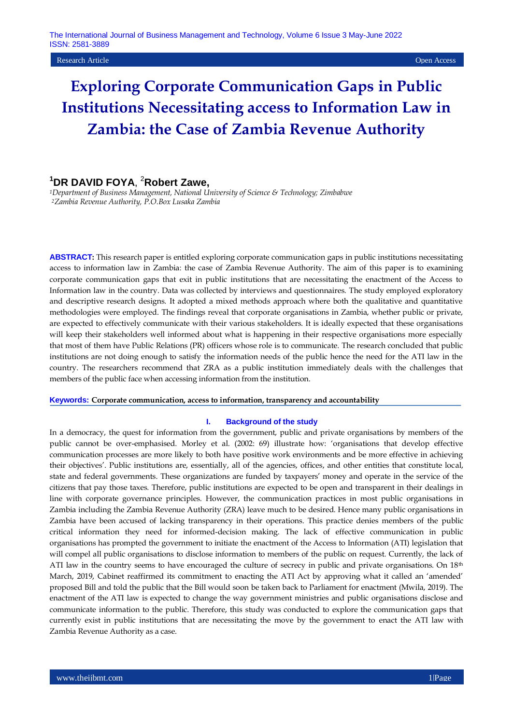#### Research Article Open Access

# **Exploring Corporate Communication Gaps in Public Institutions Necessitating access to Information Law in Zambia: the Case of Zambia Revenue Authority**

## **<sup>1</sup>DR DAVID FOYA**, <sup>2</sup>**Robert Zawe,**

*<sup>1</sup>Department of Business Management, National University of Science & Technology; Zimbabwe <sup>2</sup>Zambia Revenue Authority, P.O.Box Lusaka Zambia*

**ABSTRACT:** This research paper is entitled exploring corporate communication gaps in public institutions necessitating access to information law in Zambia: the case of Zambia Revenue Authority. The aim of this paper is to examining corporate communication gaps that exit in public institutions that are necessitating the enactment of the Access to Information law in the country. Data was collected by interviews and questionnaires. The study employed exploratory and descriptive research designs. It adopted a mixed methods approach where both the qualitative and quantitative methodologies were employed. The findings reveal that corporate organisations in Zambia, whether public or private, are expected to effectively communicate with their various stakeholders. It is ideally expected that these organisations will keep their stakeholders well informed about what is happening in their respective organisations more especially that most of them have Public Relations (PR) officers whose role is to communicate. The research concluded that public institutions are not doing enough to satisfy the information needs of the public hence the need for the ATI law in the country. The researchers recommend that ZRA as a public institution immediately deals with the challenges that members of the public face when accessing information from the institution.

#### **Keywords: Corporate communication, access to information, transparency and accountability**

#### **I. Background of the study**

In a democracy, the quest for information from the government, public and private organisations by members of the public cannot be over-emphasised. Morley et al. (2002: 69) illustrate how: "organisations that develop effective communication processes are more likely to both have positive work environments and be more effective in achieving their objectives". Public institutions are, essentially, all of the agencies, offices, and other entities that constitute local, state and federal governments. These organizations are funded by taxpayers" money and operate in the service of the citizens that pay those taxes. Therefore, public institutions are expected to be open and transparent in their dealings in line with corporate governance principles. However, the communication practices in most public organisations in Zambia including the Zambia Revenue Authority (ZRA) leave much to be desired. Hence many public organisations in Zambia have been accused of lacking transparency in their operations. This practice denies members of the public critical information they need for informed-decision making. The lack of effective communication in public organisations has prompted the government to initiate the enactment of the Access to Information (ATI) legislation that will compel all public organisations to disclose information to members of the public on request. Currently, the lack of ATI law in the country seems to have encouraged the culture of secrecy in public and private organisations. On 18<sup>th</sup> March, 2019, Cabinet reaffirmed its commitment to enacting the ATI Act by approving what it called an "amended" proposed Bill and told the public that the Bill would soon be taken back to Parliament for enactment (Mwila, 2019). The enactment of the ATI law is expected to change the way government ministries and public organisations disclose and communicate information to the public. Therefore, this study was conducted to explore the communication gaps that currently exist in public institutions that are necessitating the move by the government to enact the ATI law with Zambia Revenue Authority as a case.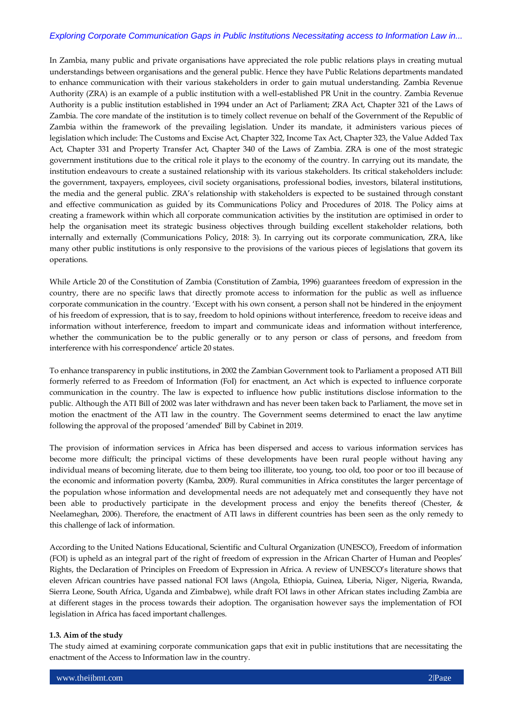In Zambia, many public and private organisations have appreciated the role public relations plays in creating mutual understandings between organisations and the general public. Hence they have Public Relations departments mandated to enhance communication with their various stakeholders in order to gain mutual understanding. Zambia Revenue Authority (ZRA) is an example of a public institution with a well-established PR Unit in the country. Zambia Revenue Authority is a public institution established in 1994 under an Act of Parliament; ZRA Act, Chapter 321 of the Laws of Zambia. The core mandate of the institution is to timely collect revenue on behalf of the Government of the Republic of Zambia within the framework of the prevailing legislation. Under its mandate, it administers various pieces of legislation which include: The Customs and Excise Act, Chapter 322, Income Tax Act, Chapter 323, the Value Added Tax Act, Chapter 331 and Property Transfer Act, Chapter 340 of the Laws of Zambia. ZRA is one of the most strategic government institutions due to the critical role it plays to the economy of the country. In carrying out its mandate, the institution endeavours to create a sustained relationship with its various stakeholders. Its critical stakeholders include: the government, taxpayers, employees, civil society organisations, professional bodies, investors, bilateral institutions, the media and the general public. ZRA"s relationship with stakeholders is expected to be sustained through constant and effective communication as guided by its Communications Policy and Procedures of 2018. The Policy aims at creating a framework within which all corporate communication activities by the institution are optimised in order to help the organisation meet its strategic business objectives through building excellent stakeholder relations, both internally and externally (Communications Policy, 2018: 3). In carrying out its corporate communication, ZRA, like many other public institutions is only responsive to the provisions of the various pieces of legislations that govern its operations.

While Article 20 of the Constitution of Zambia (Constitution of Zambia, 1996) guarantees freedom of expression in the country, there are no specific laws that directly promote access to information for the public as well as influence corporate communication in the country. "Except with his own consent, a person shall not be hindered in the enjoyment of his freedom of expression, that is to say, freedom to hold opinions without interference, freedom to receive ideas and information without interference, freedom to impart and communicate ideas and information without interference, whether the communication be to the public generally or to any person or class of persons, and freedom from interference with his correspondence' article 20 states.

To enhance transparency in public institutions, in 2002 the Zambian Government took to Parliament a proposed ATI Bill formerly referred to as Freedom of Information (FoI) for enactment, an Act which is expected to influence corporate communication in the country. The law is expected to influence how public institutions disclose information to the public. Although the ATI Bill of 2002 was later withdrawn and has never been taken back to Parliament, the move set in motion the enactment of the ATI law in the country. The Government seems determined to enact the law anytime following the approval of the proposed 'amended' Bill by Cabinet in 2019.

The provision of information services in Africa has been dispersed and access to various information services has become more difficult; the principal victims of these developments have been rural people without having any individual means of becoming literate, due to them being too illiterate, too young, too old, too poor or too ill because of the economic and information poverty (Kamba, 2009). Rural communities in Africa constitutes the larger percentage of the population whose information and developmental needs are not adequately met and consequently they have not been able to productively participate in the development process and enjoy the benefits thereof (Chester, & Neelameghan, 2006). Therefore, the enactment of ATI laws in different countries has been seen as the only remedy to this challenge of lack of information.

According to the United Nations Educational, Scientific and Cultural Organization (UNESCO), Freedom of information (FOI) is upheld as an integral part of the right of freedom of expression in the African Charter of Human and Peoples" Rights, the Declaration of Principles on Freedom of Expression in Africa. A review of UNESCO"s literature shows that eleven African countries have passed national FOI laws (Angola, Ethiopia, Guinea, Liberia, Niger, Nigeria, Rwanda, Sierra Leone, South Africa, Uganda and Zimbabwe), while draft FOI laws in other African states including Zambia are at different stages in the process towards their adoption. The organisation however says the implementation of FOI legislation in Africa has faced important challenges.

## **1.3. Aim of the study**

The study aimed at examining corporate communication gaps that exit in public institutions that are necessitating the enactment of the Access to Information law in the country.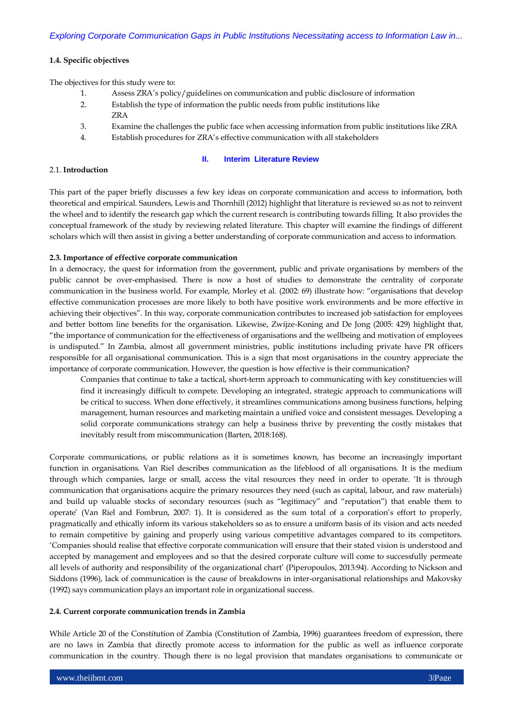## **1.4. Specific objectives**

The objectives for this study were to:

- 1. Assess ZRA"s policy/guidelines on communication and public disclosure of information
- 2. Establish the type of information the public needs from public institutions like ZRA
- 3. Examine the challenges the public face when accessing information from public institutions like ZRA
- 4. Establish procedures for ZRA"s effective communication with all stakeholders

## **II. Interim Literature Review**

## 2.1. **Introduction**

This part of the paper briefly discusses a few key ideas on corporate communication and access to information, both theoretical and empirical. Saunders, Lewis and Thornhill (2012) highlight that literature is reviewed so as not to reinvent the wheel and to identify the research gap which the current research is contributing towards filling. It also provides the conceptual framework of the study by reviewing related literature. This chapter will examine the findings of different scholars which will then assist in giving a better understanding of corporate communication and access to information.

## **2.3. Importance of effective corporate communication**

In a democracy, the quest for information from the government, public and private organisations by members of the public cannot be over-emphasised. There is now a host of studies to demonstrate the centrality of corporate communication in the business world. For example, Morley et al. (2002: 69) illustrate how: "organisations that develop effective communication processes are more likely to both have positive work environments and be more effective in achieving their objectives". In this way, corporate communication contributes to increased job satisfaction for employees and better bottom line benefits for the organisation. Likewise, Zwijze-Koning and De Jong (2005: 429) highlight that, "the importance of communication for the effectiveness of organisations and the wellbeing and motivation of employees is undisputed." In Zambia, almost all government ministries, public institutions including private have PR officers responsible for all organisational communication. This is a sign that most organisations in the country appreciate the importance of corporate communication. However, the question is how effective is their communication?

Companies that continue to take a tactical, short-term approach to communicating with key constituencies will find it increasingly difficult to compete. Developing an integrated, strategic approach to communications will be critical to success. When done effectively, it streamlines communications among business functions, helping management, human resources and marketing maintain a unified voice and consistent messages. Developing a solid corporate communications strategy can help a business thrive by preventing the costly mistakes that inevitably result from miscommunication (Barten, 2018:168).

Corporate communications, or public relations as it is sometimes known, has become an increasingly important function in organisations. Van Riel describes communication as the lifeblood of all organisations. It is the medium through which companies, large or small, access the vital resources they need in order to operate. "It is through communication that organisations acquire the primary resources they need (such as capital, labour, and raw materials) and build up valuable stocks of secondary resources (such as "legitimacy" and "reputation") that enable them to operate' (Van Riel and Fombrun, 2007: 1). It is considered as the sum total of a corporation's effort to properly, pragmatically and ethically inform its various stakeholders so as to ensure a uniform basis of its vision and acts needed to remain competitive by gaining and properly using various competitive advantages compared to its competitors. "Companies should realise that effective corporate communication will ensure that their stated vision is understood and accepted by management and employees and so that the desired corporate culture will come to successfully permeate all levels of authority and responsibility of the organizational chart" (Piperopoulos, 2013:94). According to Nickson and Siddons (1996), lack of communication is the cause of breakdowns in inter-organisational relationships and Makovsky (1992) says communication plays an important role in organizational success.

## **2.4. Current corporate communication trends in Zambia**

While Article 20 of the Constitution of Zambia (Constitution of Zambia, 1996) guarantees freedom of expression, there are no laws in Zambia that directly promote access to information for the public as well as influence corporate communication in the country. Though there is no legal provision that mandates organisations to communicate or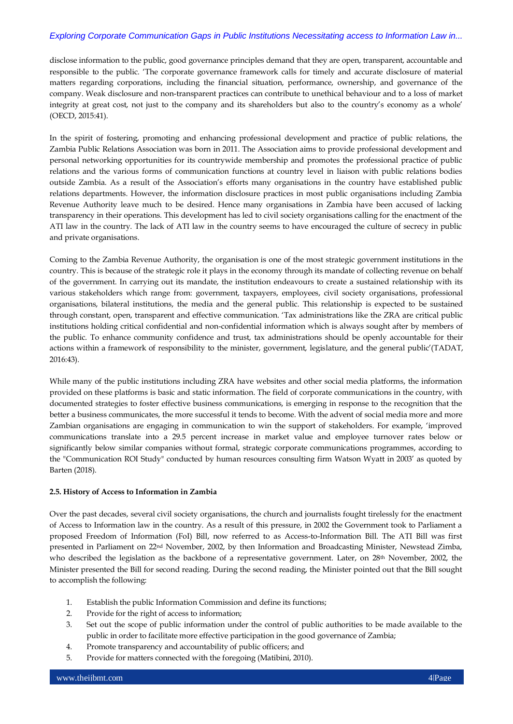disclose information to the public, good governance principles demand that they are open, transparent, accountable and responsible to the public. "The corporate governance framework calls for timely and accurate disclosure of material matters regarding corporations, including the financial situation, performance, ownership, and governance of the company. Weak disclosure and non-transparent practices can contribute to unethical behaviour and to a loss of market integrity at great cost, not just to the company and its shareholders but also to the country's economy as a whole' (OECD, 2015:41).

In the spirit of fostering, promoting and enhancing professional development and practice of public relations, the Zambia Public Relations Association was born in 2011. The Association aims to provide professional development and personal networking opportunities for its countrywide membership and promotes the professional practice of public relations and the various forms of communication functions at country level in liaison with public relations bodies outside Zambia. As a result of the Association"s efforts many organisations in the country have established public relations departments. However, the information disclosure practices in most public organisations including Zambia Revenue Authority leave much to be desired. Hence many organisations in Zambia have been accused of lacking transparency in their operations. This development has led to civil society organisations calling for the enactment of the ATI law in the country. The lack of ATI law in the country seems to have encouraged the culture of secrecy in public and private organisations.

Coming to the Zambia Revenue Authority, the organisation is one of the most strategic government institutions in the country. This is because of the strategic role it plays in the economy through its mandate of collecting revenue on behalf of the government. In carrying out its mandate, the institution endeavours to create a sustained relationship with its various stakeholders which range from: government, taxpayers, employees, civil society organisations, professional organisations, bilateral institutions, the media and the general public. This relationship is expected to be sustained through constant, open, transparent and effective communication. "Tax administrations like the ZRA are critical public institutions holding critical confidential and non-confidential information which is always sought after by members of the public. To enhance community confidence and trust, tax administrations should be openly accountable for their actions within a framework of responsibility to the minister, government, legislature, and the general public'(TADAT, 2016:43).

While many of the public institutions including ZRA have websites and other social media platforms, the information provided on these platforms is basic and static information. The field of corporate communications in the country, with documented strategies to foster effective business communications, is emerging in response to the recognition that the better a business communicates, the more successful it tends to become. With the advent of social media more and more Zambian organisations are engaging in communication to win the support of stakeholders. For example, "improved communications translate into a 29.5 percent increase in market value and employee turnover rates below or significantly below similar companies without formal, strategic corporate communications programmes, according to the "Communication ROI Study" conducted by human resources consulting firm Watson Wyatt in 2003" as quoted by Barten (2018).

## **2.5. History of Access to Information in Zambia**

Over the past decades, several civil society organisations, the church and journalists fought tirelessly for the enactment of Access to Information law in the country. As a result of this pressure, in 2002 the Government took to Parliament a proposed Freedom of Information (FoI) Bill, now referred to as Access-to-Information Bill. The ATI Bill was first presented in Parliament on 22nd November, 2002, by then Information and Broadcasting Minister, Newstead Zimba, who described the legislation as the backbone of a representative government. Later, on 28<sup>th</sup> November, 2002, the Minister presented the Bill for second reading. During the second reading, the Minister pointed out that the Bill sought to accomplish the following:

- 1. Establish the public Information Commission and define its functions;
- 2. Provide for the right of access to information;
- 3. Set out the scope of public information under the control of public authorities to be made available to the public in order to facilitate more effective participation in the good governance of Zambia;
- 4. Promote transparency and accountability of public officers; and
- 5. Provide for matters connected with the foregoing (Matibini, 2010).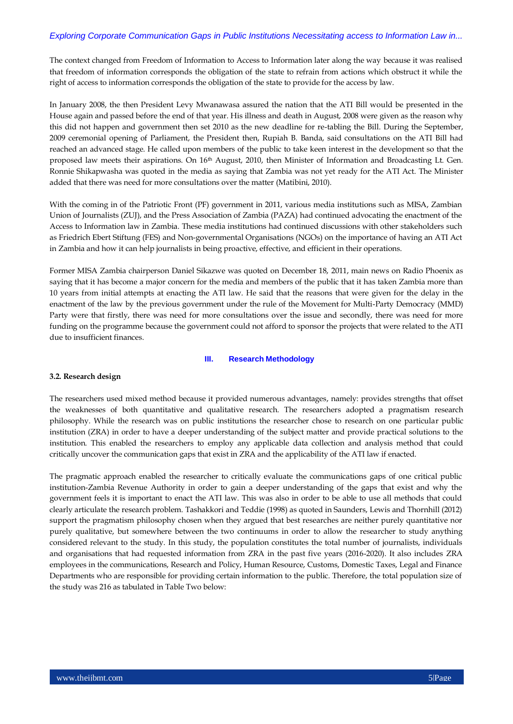The context changed from Freedom of Information to Access to Information later along the way because it was realised that freedom of information corresponds the obligation of the state to refrain from actions which obstruct it while the right of access to information corresponds the obligation of the state to provide for the access by law.

In January 2008, the then President Levy Mwanawasa assured the nation that the ATI Bill would be presented in the House again and passed before the end of that year. His illness and death in August, 2008 were given as the reason why this did not happen and government then set 2010 as the new deadline for re-tabling the Bill. During the September, 2009 ceremonial opening of Parliament, the President then, Rupiah B. Banda, said consultations on the ATI Bill had reached an advanced stage. He called upon members of the public to take keen interest in the development so that the proposed law meets their aspirations. On 16th August, 2010, then Minister of Information and Broadcasting Lt. Gen. Ronnie Shikapwasha was quoted in the media as saying that Zambia was not yet ready for the ATI Act. The Minister added that there was need for more consultations over the matter (Matibini, 2010).

With the coming in of the Patriotic Front (PF) government in 2011, various media institutions such as MISA, Zambian Union of Journalists (ZUJ), and the Press Association of Zambia (PAZA) had continued advocating the enactment of the Access to Information law in Zambia. These media institutions had continued discussions with other stakeholders such as Friedrich Ebert Stiftung (FES) and Non-governmental Organisations (NGOs) on the importance of having an ATI Act in Zambia and how it can help journalists in being proactive, effective, and efficient in their operations.

Former MISA Zambia chairperson Daniel Sikazwe was quoted on December 18, 2011, main news on Radio Phoenix as saying that it has become a major concern for the media and members of the public that it has taken Zambia more than 10 years from initial attempts at enacting the ATI law. He said that the reasons that were given for the delay in the enactment of the law by the previous government under the rule of the Movement for Multi-Party Democracy (MMD) Party were that firstly, there was need for more consultations over the issue and secondly, there was need for more funding on the programme because the government could not afford to sponsor the projects that were related to the ATI due to insufficient finances.

## **III. Research Methodology**

## **3.2. Research design**

The researchers used mixed method because it provided numerous advantages, namely: provides strengths that offset the weaknesses of both quantitative and qualitative research. The researchers adopted a pragmatism research philosophy. While the research was on public institutions the researcher chose to research on one particular public institution (ZRA) in order to have a deeper understanding of the subject matter and provide practical solutions to the institution. This enabled the researchers to employ any applicable data collection and analysis method that could critically uncover the communication gaps that exist in ZRA and the applicability of the ATI law if enacted.

The pragmatic approach enabled the researcher to critically evaluate the communications gaps of one critical public institution-Zambia Revenue Authority in order to gain a deeper understanding of the gaps that exist and why the government feels it is important to enact the ATI law. This was also in order to be able to use all methods that could clearly articulate the research problem. Tashakkori and Teddie (1998) as quoted in Saunders, Lewis and Thornhill (2012) support the pragmatism philosophy chosen when they argued that best researches are neither purely quantitative nor purely qualitative, but somewhere between the two continuums in order to allow the researcher to study anything considered relevant to the study. In this study, the population constitutes the total number of journalists, individuals and organisations that had requested information from ZRA in the past five years (2016-2020). It also includes ZRA employees in the communications, Research and Policy, Human Resource, Customs, Domestic Taxes, Legal and Finance Departments who are responsible for providing certain information to the public. Therefore, the total population size of the study was 216 as tabulated in Table Two below: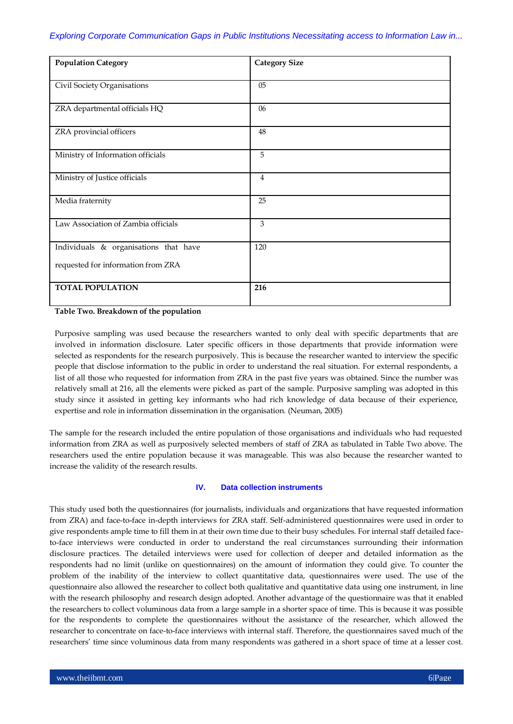| <b>Population Category</b>            | <b>Category Size</b> |
|---------------------------------------|----------------------|
| Civil Society Organisations           | 05                   |
| ZRA departmental officials HQ         | 06                   |
| ZRA provincial officers               | 48                   |
| Ministry of Information officials     | 5                    |
| Ministry of Justice officials         | $\overline{4}$       |
| Media fraternity                      | 25                   |
| Law Association of Zambia officials   | 3                    |
| Individuals & organisations that have | 120                  |
| requested for information from ZRA    |                      |
| <b>TOTAL POPULATION</b>               | 216                  |

**Table Two. Breakdown of the population**

Purposive sampling was used because the researchers wanted to only deal with specific departments that are involved in information disclosure. Later specific officers in those departments that provide information were selected as respondents for the research purposively. This is because the researcher wanted to interview the specific people that disclose information to the public in order to understand the real situation. For external respondents, a list of all those who requested for information from ZRA in the past five years was obtained. Since the number was relatively small at 216, all the elements were picked as part of the sample. Purposive sampling was adopted in this study since it assisted in getting key informants who had rich knowledge of data because of their experience, expertise and role in information dissemination in the organisation. (Neuman, 2005)

The sample for the research included the entire population of those organisations and individuals who had requested information from ZRA as well as purposively selected members of staff of ZRA as tabulated in Table Two above. The researchers used the entire population because it was manageable. This was also because the researcher wanted to increase the validity of the research results.

## **IV. Data collection instruments**

This study used both the questionnaires (for journalists, individuals and organizations that have requested information from ZRA) and face-to-face in-depth interviews for ZRA staff. Self-administered questionnaires were used in order to give respondents ample time to fill them in at their own time due to their busy schedules. For internal staff detailed faceto-face interviews were conducted in order to understand the real circumstances surrounding their information disclosure practices. The detailed interviews were used for collection of deeper and detailed information as the respondents had no limit (unlike on questionnaires) on the amount of information they could give. To counter the problem of the inability of the interview to collect quantitative data, questionnaires were used. The use of the questionnaire also allowed the researcher to collect both qualitative and quantitative data using one instrument, in line with the research philosophy and research design adopted. Another advantage of the questionnaire was that it enabled the researchers to collect voluminous data from a large sample in a shorter space of time. This is because it was possible for the respondents to complete the questionnaires without the assistance of the researcher, which allowed the researcher to concentrate on face-to-face interviews with internal staff. Therefore, the questionnaires saved much of the researchers" time since voluminous data from many respondents was gathered in a short space of time at a lesser cost.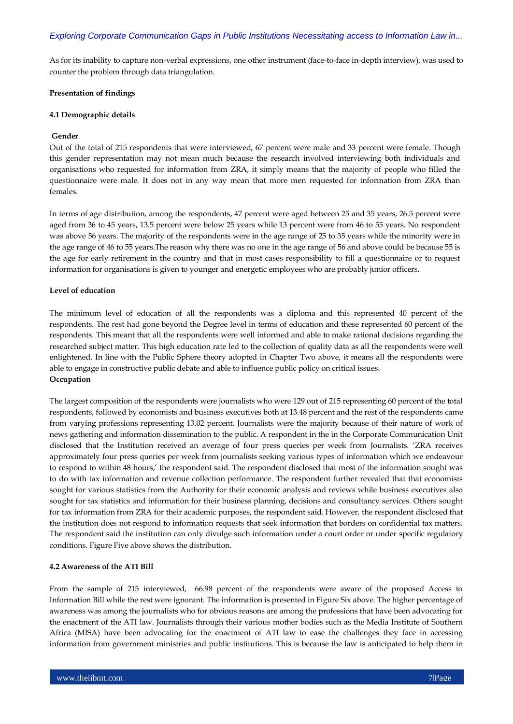As for its inability to capture non-verbal expressions, one other instrument (face-to-face in-depth interview), was used to counter the problem through data triangulation.

#### **Presentation of findings**

#### **4.1 Demographic details**

#### **Gender**

Out of the total of 215 respondents that were interviewed, 67 percent were male and 33 percent were female. Though this gender representation may not mean much because the research involved interviewing both individuals and organisations who requested for information from ZRA, it simply means that the majority of people who filled the questionnaire were male. It does not in any way mean that more men requested for information from ZRA than females.

In terms of age distribution, among the respondents, 47 percent were aged between 25 and 35 years, 26.5 percent were aged from 36 to 45 years, 13.5 percent were below 25 years while 13 percent were from 46 to 55 years. No respondent was above 56 years. The majority of the respondents were in the age range of 25 to 35 years while the minority were in the age range of 46 to 55 years.The reason why there was no one in the age range of 56 and above could be because 55 is the age for early retirement in the country and that in most cases responsibility to fill a questionnaire or to request information for organisations is given to younger and energetic employees who are probably junior officers.

## **Level of education**

The minimum level of education of all the respondents was a diploma and this represented 40 percent of the respondents. The rest had gone beyond the Degree level in terms of education and these represented 60 percent of the respondents. This meant that all the respondents were well informed and able to make rational decisions regarding the researched subject matter. This high education rate led to the collection of quality data as all the respondents were well enlightened. In line with the Public Sphere theory adopted in Chapter Two above, it means all the respondents were able to engage in constructive public debate and able to influence public policy on critical issues. **Occupation**

The largest composition of the respondents were journalists who were 129 out of 215 representing 60 percent of the total respondents, followed by economists and business executives both at 13.48 percent and the rest of the respondents came from varying professions representing 13.02 percent. Journalists were the majority because of their nature of work of news gathering and information dissemination to the public. A respondent in the in the Corporate Communication Unit disclosed that the Institution received an average of four press queries per week from Journalists. "ZRA receives approximately four press queries per week from journalists seeking various types of information which we endeavour to respond to within 48 hours," the respondent said. The respondent disclosed that most of the information sought was to do with tax information and revenue collection performance. The respondent further revealed that that economists sought for various statistics from the Authority for their economic analysis and reviews while business executives also sought for tax statistics and information for their business planning, decisions and consultancy services. Others sought for tax information from ZRA for their academic purposes, the respondent said. However, the respondent disclosed that the institution does not respond to information requests that seek information that borders on confidential tax matters. The respondent said the institution can only divulge such information under a court order or under specific regulatory conditions. Figure Five above shows the distribution.

#### **4.2 Awareness of the ATI Bill**

From the sample of 215 interviewed, 66.98 percent of the respondents were aware of the proposed Access to Information Bill while the rest were ignorant. The information is presented in Figure Six above. The higher percentage of awareness was among the journalists who for obvious reasons are among the professions that have been advocating for the enactment of the ATI law. Journalists through their various mother bodies such as the Media Institute of Southern Africa (MISA) have been advocating for the enactment of ATI law to ease the challenges they face in accessing information from government ministries and public institutions. This is because the law is anticipated to help them in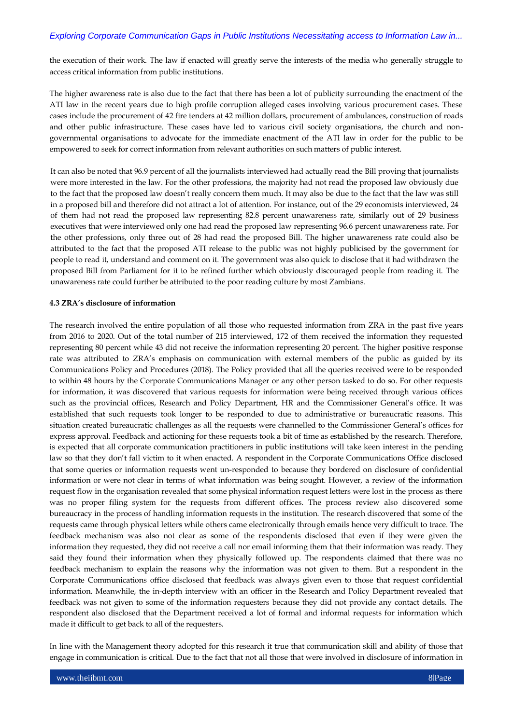the execution of their work. The law if enacted will greatly serve the interests of the media who generally struggle to access critical information from public institutions.

The higher awareness rate is also due to the fact that there has been a lot of publicity surrounding the enactment of the ATI law in the recent years due to high profile corruption alleged cases involving various procurement cases. These cases include the procurement of 42 fire tenders at 42 million dollars, procurement of ambulances, construction of roads and other public infrastructure. These cases have led to various civil society organisations, the church and nongovernmental organisations to advocate for the immediate enactment of the ATI law in order for the public to be empowered to seek for correct information from relevant authorities on such matters of public interest.

It can also be noted that 96.9 percent of all the journalists interviewed had actually read the Bill proving that journalists were more interested in the law. For the other professions, the majority had not read the proposed law obviously due to the fact that the proposed law doesn"t really concern them much. It may also be due to the fact that the law was still in a proposed bill and therefore did not attract a lot of attention. For instance, out of the 29 economists interviewed, 24 of them had not read the proposed law representing 82.8 percent unawareness rate, similarly out of 29 business executives that were interviewed only one had read the proposed law representing 96.6 percent unawareness rate. For the other professions, only three out of 28 had read the proposed Bill. The higher unawareness rate could also be attributed to the fact that the proposed ATI release to the public was not highly publicised by the government for people to read it, understand and comment on it. The government was also quick to disclose that it had withdrawn the proposed Bill from Parliament for it to be refined further which obviously discouraged people from reading it. The unawareness rate could further be attributed to the poor reading culture by most Zambians.

#### **4.3 ZRA's disclosure of information**

The research involved the entire population of all those who requested information from ZRA in the past five years from 2016 to 2020. Out of the total number of 215 interviewed, 172 of them received the information they requested representing 80 percent while 43 did not receive the information representing 20 percent. The higher positive response rate was attributed to ZRA's emphasis on communication with external members of the public as guided by its Communications Policy and Procedures (2018). The Policy provided that all the queries received were to be responded to within 48 hours by the Corporate Communications Manager or any other person tasked to do so. For other requests for information, it was discovered that various requests for information were being received through various offices such as the provincial offices, Research and Policy Department, HR and the Commissioner General"s office. It was established that such requests took longer to be responded to due to administrative or bureaucratic reasons. This situation created bureaucratic challenges as all the requests were channelled to the Commissioner General"s offices for express approval. Feedback and actioning for these requests took a bit of time as established by the research. Therefore, is expected that all corporate communication practitioners in public institutions will take keen interest in the pending law so that they don"t fall victim to it when enacted. A respondent in the Corporate Communications Office disclosed that some queries or information requests went un-responded to because they bordered on disclosure of confidential information or were not clear in terms of what information was being sought. However, a review of the information request flow in the organisation revealed that some physical information request letters were lost in the process as there was no proper filing system for the requests from different offices. The process review also discovered some bureaucracy in the process of handling information requests in the institution. The research discovered that some of the requests came through physical letters while others came electronically through emails hence very difficult to trace. The feedback mechanism was also not clear as some of the respondents disclosed that even if they were given the information they requested, they did not receive a call nor email informing them that their information was ready. They said they found their information when they physically followed up. The respondents claimed that there was no feedback mechanism to explain the reasons why the information was not given to them. But a respondent in the Corporate Communications office disclosed that feedback was always given even to those that request confidential information. Meanwhile, the in-depth interview with an officer in the Research and Policy Department revealed that feedback was not given to some of the information requesters because they did not provide any contact details. The respondent also disclosed that the Department received a lot of formal and informal requests for information which made it difficult to get back to all of the requesters.

In line with the Management theory adopted for this research it true that communication skill and ability of those that engage in communication is critical. Due to the fact that not all those that were involved in disclosure of information in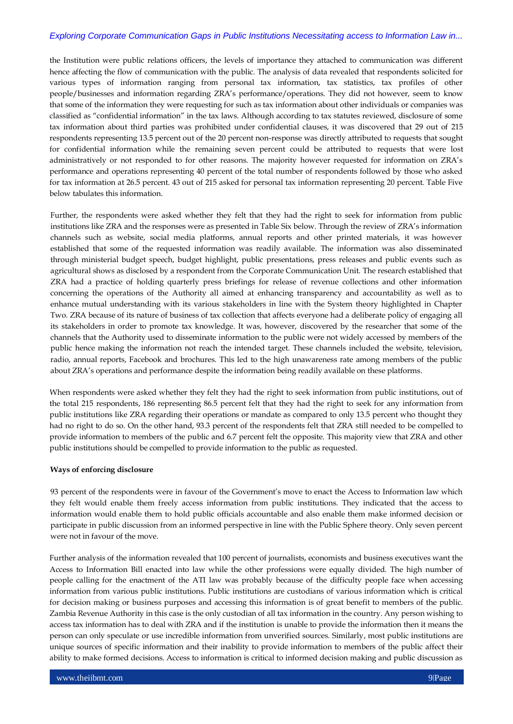the Institution were public relations officers, the levels of importance they attached to communication was different hence affecting the flow of communication with the public. The analysis of data revealed that respondents solicited for various types of information ranging from personal tax information, tax statistics, tax profiles of other people/businesses and information regarding ZRA"s performance/operations. They did not however, seem to know that some of the information they were requesting for such as tax information about other individuals or companies was classified as "confidential information" in the tax laws. Although according to tax statutes reviewed, disclosure of some tax information about third parties was prohibited under confidential clauses, it was discovered that 29 out of 215 respondents representing 13.5 percent out of the 20 percent non-response was directly attributed to requests that sought for confidential information while the remaining seven percent could be attributed to requests that were lost administratively or not responded to for other reasons. The majority however requested for information on ZRA"s performance and operations representing 40 percent of the total number of respondents followed by those who asked for tax information at 26.5 percent. 43 out of 215 asked for personal tax information representing 20 percent. Table Five below tabulates this information.

Further, the respondents were asked whether they felt that they had the right to seek for information from public institutions like ZRA and the responses were as presented in Table Six below. Through the review of ZRA"s information channels such as website, social media platforms, annual reports and other printed materials, it was however established that some of the requested information was readily available. The information was also disseminated through ministerial budget speech, budget highlight, public presentations, press releases and public events such as agricultural shows as disclosed by a respondent from the Corporate Communication Unit. The research established that ZRA had a practice of holding quarterly press briefings for release of revenue collections and other information concerning the operations of the Authority all aimed at enhancing transparency and accountability as well as to enhance mutual understanding with its various stakeholders in line with the System theory highlighted in Chapter Two. ZRA because of its nature of business of tax collection that affects everyone had a deliberate policy of engaging all its stakeholders in order to promote tax knowledge. It was, however, discovered by the researcher that some of the channels that the Authority used to disseminate information to the public were not widely accessed by members of the public hence making the information not reach the intended target. These channels included the website, television, radio, annual reports, Facebook and brochures. This led to the high unawareness rate among members of the public about ZRA"s operations and performance despite the information being readily available on these platforms.

When respondents were asked whether they felt they had the right to seek information from public institutions, out of the total 215 respondents, 186 representing 86.5 percent felt that they had the right to seek for any information from public institutions like ZRA regarding their operations or mandate as compared to only 13.5 percent who thought they had no right to do so. On the other hand, 93.3 percent of the respondents felt that ZRA still needed to be compelled to provide information to members of the public and 6.7 percent felt the opposite. This majority view that ZRA and other public institutions should be compelled to provide information to the public as requested.

## **Ways of enforcing disclosure**

93 percent of the respondents were in favour of the Government"s move to enact the Access to Information law which they felt would enable them freely access information from public institutions. They indicated that the access to information would enable them to hold public officials accountable and also enable them make informed decision or participate in public discussion from an informed perspective in line with the Public Sphere theory. Only seven percent were not in favour of the move.

Further analysis of the information revealed that 100 percent of journalists, economists and business executives want the Access to Information Bill enacted into law while the other professions were equally divided. The high number of people calling for the enactment of the ATI law was probably because of the difficulty people face when accessing information from various public institutions. Public institutions are custodians of various information which is critical for decision making or business purposes and accessing this information is of great benefit to members of the public. Zambia Revenue Authority in this case is the only custodian of all tax information in the country. Any person wishing to access tax information has to deal with ZRA and if the institution is unable to provide the information then it means the person can only speculate or use incredible information from unverified sources. Similarly, most public institutions are unique sources of specific information and their inability to provide information to members of the public affect their ability to make formed decisions. Access to information is critical to informed decision making and public discussion as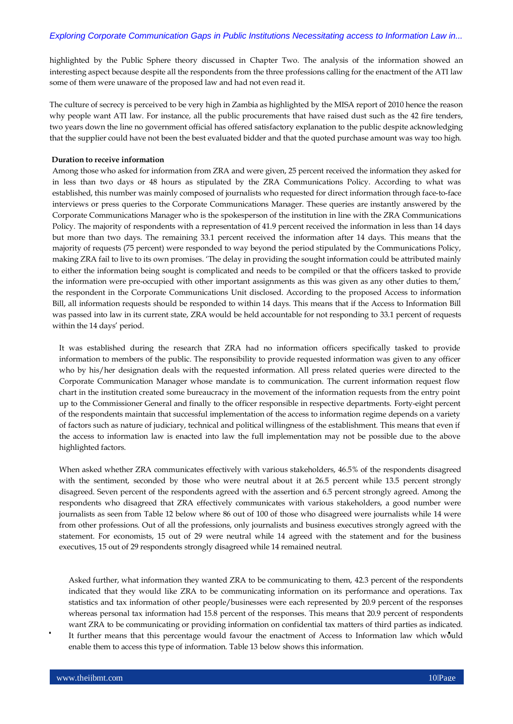highlighted by the Public Sphere theory discussed in Chapter Two. The analysis of the information showed an interesting aspect because despite all the respondents from the three professions calling for the enactment of the ATI law some of them were unaware of the proposed law and had not even read it.

The culture of secrecy is perceived to be very high in Zambia as highlighted by the MISA report of 2010 hence the reason why people want ATI law. For instance, all the public procurements that have raised dust such as the 42 fire tenders, two years down the line no government official has offered satisfactory explanation to the public despite acknowledging that the supplier could have not been the best evaluated bidder and that the quoted purchase amount was way too high.

#### **Duration to receive information**

Among those who asked for information from ZRA and were given, 25 percent received the information they asked for in less than two days or 48 hours as stipulated by the ZRA Communications Policy. According to what was established, this number was mainly composed of journalists who requested for direct information through face-to-face interviews or press queries to the Corporate Communications Manager. These queries are instantly answered by the Corporate Communications Manager who is the spokesperson of the institution in line with the ZRA Communications Policy. The majority of respondents with a representation of 41.9 percent received the information in less than 14 days but more than two days. The remaining 33.1 percent received the information after 14 days. This means that the majority of requests (75 percent) were responded to way beyond the period stipulated by the Communications Policy, making ZRA fail to live to its own promises. "The delay in providing the sought information could be attributed mainly to either the information being sought is complicated and needs to be compiled or that the officers tasked to provide the information were pre-occupied with other important assignments as this was given as any other duties to them,' the respondent in the Corporate Communications Unit disclosed. According to the proposed Access to information Bill, all information requests should be responded to within 14 days. This means that if the Access to Information Bill was passed into law in its current state, ZRA would be held accountable for not responding to 33.1 percent of requests within the 14 days' period.

It was established during the research that ZRA had no information officers specifically tasked to provide information to members of the public. The responsibility to provide requested information was given to any officer who by his/her designation deals with the requested information. All press related queries were directed to the Corporate Communication Manager whose mandate is to communication. The current information request flow chart in the institution created some bureaucracy in the movement of the information requests from the entry point up to the Commissioner General and finally to the officer responsible in respective departments. Forty-eight percent of the respondents maintain that successful implementation of the access to information regime depends on a variety of factors such as nature of judiciary, technical and political willingness of the establishment. This means that even if the access to information law is enacted into law the full implementation may not be possible due to the above highlighted factors.

When asked whether ZRA communicates effectively with various stakeholders, 46.5% of the respondents disagreed with the sentiment, seconded by those who were neutral about it at 26.5 percent while 13.5 percent strongly disagreed. Seven percent of the respondents agreed with the assertion and 6.5 percent strongly agreed. Among the respondents who disagreed that ZRA effectively communicates with various stakeholders, a good number were journalists as seen from Table 12 below where 86 out of 100 of those who disagreed were journalists while 14 were from other professions. Out of all the professions, only journalists and business executives strongly agreed with the statement. For economists, 15 out of 29 were neutral while 14 agreed with the statement and for the business executives, 15 out of 29 respondents strongly disagreed while 14 remained neutral.

Asked further, what information they wanted ZRA to be communicating to them, 42.3 percent of the respondents indicated that they would like ZRA to be communicating information on its performance and operations. Tax statistics and tax information of other people/businesses were each represented by 20.9 percent of the responses whereas personal tax information had 15.8 percent of the responses. This means that 20.9 percent of respondents want ZRA to be communicating or providing information on confidential tax matters of third parties as indicated. It further means that this percentage would favour the enactment of Access to Information law which would enable them to access this type of information. Table 13 below shows this information.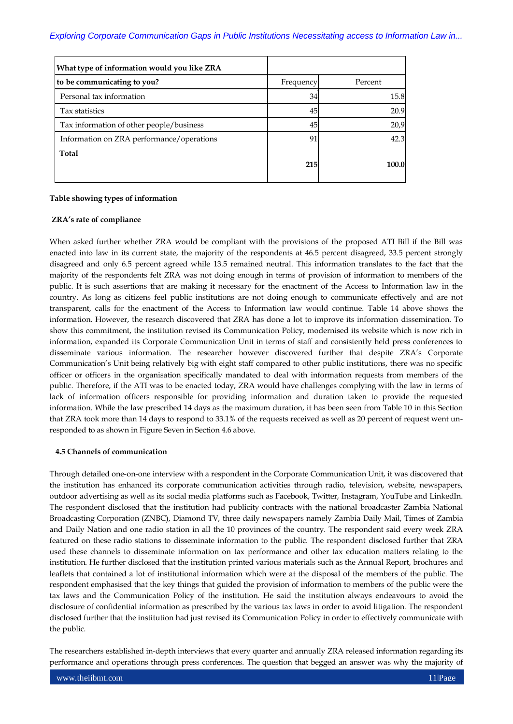| What type of information would you like ZRA |           |         |
|---------------------------------------------|-----------|---------|
| to be communicating to you?                 | Frequency | Percent |
| Personal tax information                    | 34        | 15.8    |
| Tax statistics                              | 45        | 20.9    |
| Tax information of other people/business    | 45        | 20,9    |
| Information on ZRA performance/operations   | 91        | 42.3    |
| Total                                       | 215       | 100.0   |

## **Table showing types of information**

## **ZRA's rate of compliance**

When asked further whether ZRA would be compliant with the provisions of the proposed ATI Bill if the Bill was enacted into law in its current state, the majority of the respondents at 46.5 percent disagreed, 33.5 percent strongly disagreed and only 6.5 percent agreed while 13.5 remained neutral. This information translates to the fact that the majority of the respondents felt ZRA was not doing enough in terms of provision of information to members of the public. It is such assertions that are making it necessary for the enactment of the Access to Information law in the country. As long as citizens feel public institutions are not doing enough to communicate effectively and are not transparent, calls for the enactment of the Access to Information law would continue. Table 14 above shows the information. However, the research discovered that ZRA has done a lot to improve its information dissemination. To show this commitment, the institution revised its Communication Policy, modernised its website which is now rich in information, expanded its Corporate Communication Unit in terms of staff and consistently held press conferences to disseminate various information. The researcher however discovered further that despite ZRA"s Corporate Communication"s Unit being relatively big with eight staff compared to other public institutions, there was no specific officer or officers in the organisation specifically mandated to deal with information requests from members of the public. Therefore, if the ATI was to be enacted today, ZRA would have challenges complying with the law in terms of lack of information officers responsible for providing information and duration taken to provide the requested information. While the law prescribed 14 days as the maximum duration, it has been seen from Table 10 in this Section that ZRA took more than 14 days to respond to 33.1% of the requests received as well as 20 percent of request went unresponded to as shown in Figure Seven in Section 4.6 above.

## **4.5 Channels of communication**

Through detailed one-on-one interview with a respondent in the Corporate Communication Unit, it was discovered that the institution has enhanced its corporate communication activities through radio, television, website, newspapers, outdoor advertising as well as its social media platforms such as Facebook, Twitter, Instagram, YouTube and LinkedIn. The respondent disclosed that the institution had publicity contracts with the national broadcaster Zambia National Broadcasting Corporation (ZNBC), Diamond TV, three daily newspapers namely Zambia Daily Mail, Times of Zambia and Daily Nation and one radio station in all the 10 provinces of the country. The respondent said every week ZRA featured on these radio stations to disseminate information to the public. The respondent disclosed further that ZRA used these channels to disseminate information on tax performance and other tax education matters relating to the institution. He further disclosed that the institution printed various materials such as the Annual Report, brochures and leaflets that contained a lot of institutional information which were at the disposal of the members of the public. The respondent emphasised that the key things that guided the provision of information to members of the public were the tax laws and the Communication Policy of the institution. He said the institution always endeavours to avoid the disclosure of confidential information as prescribed by the various tax laws in order to avoid litigation. The respondent disclosed further that the institution had just revised its Communication Policy in order to effectively communicate with the public.

The researchers established in-depth interviews that every quarter and annually ZRA released information regarding its performance and operations through press conferences. The question that begged an answer was why the majority of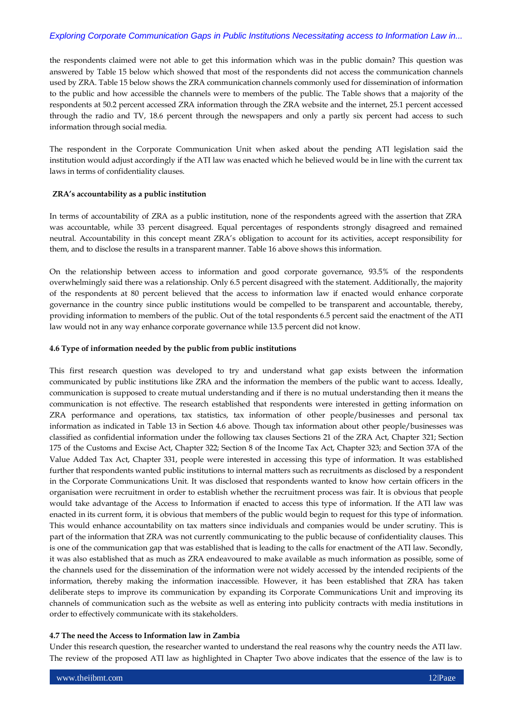the respondents claimed were not able to get this information which was in the public domain? This question was answered by Table 15 below which showed that most of the respondents did not access the communication channels used by ZRA. Table 15 below shows the ZRA communication channels commonly used for dissemination of information to the public and how accessible the channels were to members of the public. The Table shows that a majority of the respondents at 50.2 percent accessed ZRA information through the ZRA website and the internet, 25.1 percent accessed through the radio and TV, 18.6 percent through the newspapers and only a partly six percent had access to such information through social media.

The respondent in the Corporate Communication Unit when asked about the pending ATI legislation said the institution would adjust accordingly if the ATI law was enacted which he believed would be in line with the current tax laws in terms of confidentiality clauses.

## **ZRA's accountability as a public institution**

In terms of accountability of ZRA as a public institution, none of the respondents agreed with the assertion that ZRA was accountable, while 33 percent disagreed. Equal percentages of respondents strongly disagreed and remained neutral. Accountability in this concept meant ZRA"s obligation to account for its activities, accept responsibility for them, and to disclose the results in a transparent manner. Table 16 above shows this information.

On the relationship between access to information and good corporate governance, 93.5% of the respondents overwhelmingly said there was a relationship. Only 6.5 percent disagreed with the statement. Additionally, the majority of the respondents at 80 percent believed that the access to information law if enacted would enhance corporate governance in the country since public institutions would be compelled to be transparent and accountable, thereby, providing information to members of the public. Out of the total respondents 6.5 percent said the enactment of the ATI law would not in any way enhance corporate governance while 13.5 percent did not know.

## **4.6 Type of information needed by the public from public institutions**

This first research question was developed to try and understand what gap exists between the information communicated by public institutions like ZRA and the information the members of the public want to access. Ideally, communication is supposed to create mutual understanding and if there is no mutual understanding then it means the communication is not effective. The research established that respondents were interested in getting information on ZRA performance and operations, tax statistics, tax information of other people/businesses and personal tax information as indicated in Table 13 in Section 4.6 above. Though tax information about other people/businesses was classified as confidential information under the following tax clauses Sections 21 of the ZRA Act, Chapter 321; Section 175 of the Customs and Excise Act, Chapter 322; Section 8 of the Income Tax Act, Chapter 323; and Section 37A of the Value Added Tax Act, Chapter 331, people were interested in accessing this type of information. It was established further that respondents wanted public institutions to internal matters such as recruitments as disclosed by a respondent in the Corporate Communications Unit. It was disclosed that respondents wanted to know how certain officers in the organisation were recruitment in order to establish whether the recruitment process was fair. It is obvious that people would take advantage of the Access to Information if enacted to access this type of information. If the ATI law was enacted in its current form, it is obvious that members of the public would begin to request for this type of information. This would enhance accountability on tax matters since individuals and companies would be under scrutiny. This is part of the information that ZRA was not currently communicating to the public because of confidentiality clauses. This is one of the communication gap that was established that is leading to the calls for enactment of the ATI law. Secondly, it was also established that as much as ZRA endeavoured to make available as much information as possible, some of the channels used for the dissemination of the information were not widely accessed by the intended recipients of the information, thereby making the information inaccessible. However, it has been established that ZRA has taken deliberate steps to improve its communication by expanding its Corporate Communications Unit and improving its channels of communication such as the website as well as entering into publicity contracts with media institutions in order to effectively communicate with its stakeholders.

## **4.7 The need the Access to Information law in Zambia**

Under this research question, the researcher wanted to understand the real reasons why the country needs the ATI law. The review of the proposed ATI law as highlighted in Chapter Two above indicates that the essence of the law is to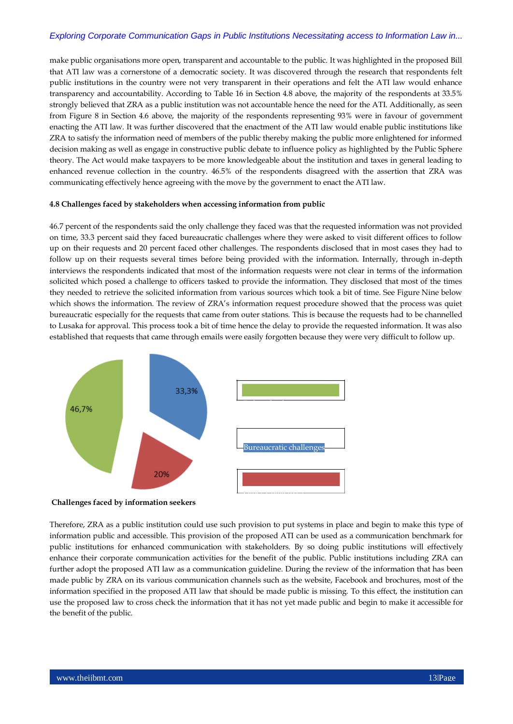make public organisations more open, transparent and accountable to the public. It was highlighted in the proposed Bill that ATI law was a cornerstone of a democratic society. It was discovered through the research that respondents felt public institutions in the country were not very transparent in their operations and felt the ATI law would enhance transparency and accountability. According to Table 16 in Section 4.8 above, the majority of the respondents at 33.5% strongly believed that ZRA as a public institution was not accountable hence the need for the ATI. Additionally, as seen from Figure 8 in Section 4.6 above, the majority of the respondents representing 93% were in favour of government enacting the ATI law. It was further discovered that the enactment of the ATI law would enable public institutions like ZRA to satisfy the information need of members of the public thereby making the public more enlightened for informed decision making as well as engage in constructive public debate to influence policy as highlighted by the Public Sphere theory. The Act would make taxpayers to be more knowledgeable about the institution and taxes in general leading to enhanced revenue collection in the country. 46.5% of the respondents disagreed with the assertion that ZRA was communicating effectively hence agreeing with the move by the government to enact the ATI law.

## **4.8 Challenges faced by stakeholders when accessing information from public**

46.7 percent of the respondents said the only challenge they faced was that the requested information was not provided on time, 33.3 percent said they faced bureaucratic challenges where they were asked to visit different offices to follow up on their requests and 20 percent faced other challenges. The respondents disclosed that in most cases they had to follow up on their requests several times before being provided with the information. Internally, through in-depth interviews the respondents indicated that most of the information requests were not clear in terms of the information solicited which posed a challenge to officers tasked to provide the information. They disclosed that most of the times they needed to retrieve the solicited information from various sources which took a bit of time. See Figure Nine below which shows the information. The review of ZRA's information request procedure showed that the process was quiet bureaucratic especially for the requests that came from outer stations. This is because the requests had to be channelled to Lusaka for approval. This process took a bit of time hence the delay to provide the requested information. It was also established that requests that came through emails were easily forgotten because they were very difficult to follow up.



## **Challenges faced by information seekers**

Therefore, ZRA as a public institution could use such provision to put systems in place and begin to make this type of information public and accessible. This provision of the proposed ATI can be used as a communication benchmark for public institutions for enhanced communication with stakeholders. By so doing public institutions will effectively enhance their corporate communication activities for the benefit of the public. Public institutions including ZRA can further adopt the proposed ATI law as a communication guideline. During the review of the information that has been made public by ZRA on its various communication channels such as the website, Facebook and brochures, most of the information specified in the proposed ATI law that should be made public is missing. To this effect, the institution can use the proposed law to cross check the information that it has not yet made public and begin to make it accessible for the benefit of the public.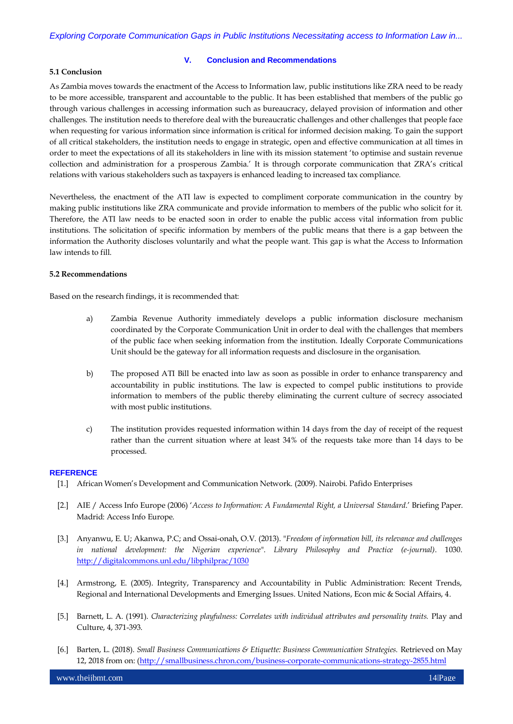#### **V. Conclusion and Recommendations**

## **5.1 Conclusion**

As Zambia moves towards the enactment of the Access to Information law, public institutions like ZRA need to be ready to be more accessible, transparent and accountable to the public. It has been established that members of the public go through various challenges in accessing information such as bureaucracy, delayed provision of information and other challenges. The institution needs to therefore deal with the bureaucratic challenges and other challenges that people face when requesting for various information since information is critical for informed decision making. To gain the support of all critical stakeholders, the institution needs to engage in strategic, open and effective communication at all times in order to meet the expectations of all its stakeholders in line with its mission statement "to optimise and sustain revenue collection and administration for a prosperous Zambia." It is through corporate communication that ZRA"s critical relations with various stakeholders such as taxpayers is enhanced leading to increased tax compliance.

Nevertheless, the enactment of the ATI law is expected to compliment corporate communication in the country by making public institutions like ZRA communicate and provide information to members of the public who solicit for it. Therefore, the ATI law needs to be enacted soon in order to enable the public access vital information from public institutions. The solicitation of specific information by members of the public means that there is a gap between the information the Authority discloses voluntarily and what the people want. This gap is what the Access to Information law intends to fill.

## **5.2 Recommendations**

Based on the research findings, it is recommended that:

- a) Zambia Revenue Authority immediately develops a public information disclosure mechanism coordinated by the Corporate Communication Unit in order to deal with the challenges that members of the public face when seeking information from the institution. Ideally Corporate Communications Unit should be the gateway for all information requests and disclosure in the organisation.
- b) The proposed ATI Bill be enacted into law as soon as possible in order to enhance transparency and accountability in public institutions. The law is expected to compel public institutions to provide information to members of the public thereby eliminating the current culture of secrecy associated with most public institutions.
- c) The institution provides requested information within 14 days from the day of receipt of the request rather than the current situation where at least 34% of the requests take more than 14 days to be processed.

#### **REFERENCE**

- [1.] African Women"s Development and Communication Network. (2009). Nairobi. Pafido Enterprises
- [2.] AIE / Access Info Europe (2006) "*Access to Information: A Fundamental Right, a Universal Standard*." Briefing Paper. Madrid: Access Info Europe.
- [3.] Anyanwu, E. U; Akanwa, P.C; and Ossai-onah, O.V. (2013). "*Freedom of information bill, its relevance and challenges in national development: the Nigerian experience*". *Library Philosophy and Practice (e-journal)*. 1030. <http://digitalcommons.unl.edu/libphilprac/1030>
- [4.] Armstrong, E. (2005). Integrity, Transparency and Accountability in Public Administration: Recent Trends, Regional and International Developments and Emerging Issues. United Nations, Econ mic & Social Affairs, 4.
- [5.] Barnett, L. A. (1991). *Characterizing playfulness: Correlates with individual attributes and personality traits.* Play and Culture, 4, 371-393.
- [6.] Barten, L. (2018). *Small Business Communications & Etiquette: Business Communication Strategies.* Retrieved on May 12, 2018 from on: [\(http://smallbusiness.chron.com/business-corporate-communications-strategy-2855.html](http://smallbusiness.chron.com/business-corporate-communications-strategy-2855.html)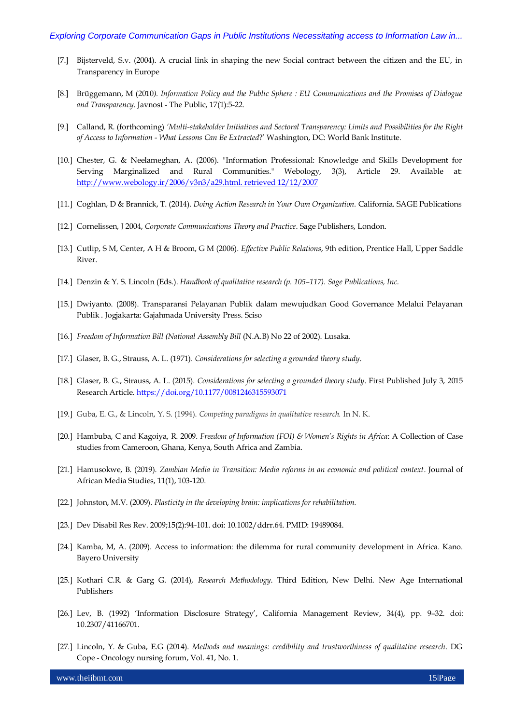- [7.] Bijsterveld, S.v. (2004). A crucial link in shaping the new Social contract between the citizen and the EU, in Transparency in Europe
- [8.] Brüggemann, M (2010*). Information Policy and the Public Sphere : EU Communications and the Promises of Dialogue and Transparency*. Javnost - The Public, 17(1):5-22.
- [9.] Calland, R. (forthcoming) *'Multi-stakeholder Initiatives and Sectoral Transparency: Limits and Possibilities for the Right of Access to Information - What Lessons Can Be Extracted*?" Washington, DC: World Bank Institute.
- [10.] Chester, G. & Neelameghan, A. (2006). "Information Professional: Knowledge and Skills Development for Serving Marginalized and Rural Communities." Webology, 3(3), Article 29. Available at: [http://www.webology.ir/2006/v3n3/a29.html. retrieved 12/12/2007](http://www.webology.ir/2006/v3n3/a29.html.%20retrieved%2012/12/2007)
- [11.] Coghlan, D & Brannick, T. (2014). *Doing Action Research in Your Own Organization.* California. SAGE Publications
- [12.] Cornelissen, J 2004, *Corporate Communications Theory and Practice*. Sage Publishers, London.
- [13.] Cutlip, S M, Center, A H & Broom, G M (2006). *Effective Public Relations*, 9th edition, Prentice Hall, Upper Saddle River.
- [14.] Denzin & Y. S. Lincoln (Eds.). *Handbook of qualitative research (p. 105–117). Sage Publications, Inc.*
- [15.] Dwiyanto. (2008). Transparansi Pelayanan Publik dalam mewujudkan Good Governance Melalui Pelayanan Publik . Jogjakarta: Gajahmada University Press. Sciso
- [16.] *Freedom of Information Bill (National Assembly Bill* (N.A.B) No 22 of 2002). Lusaka.
- [17.] Glaser, B. G., Strauss, A. L. (1971). *Considerations for selecting a grounded theory study*.
- [18.] Glaser, B. G., Strauss, A. L. (2015). *Considerations for selecting a grounded theory study*. First Published July 3, 2015 Research Article. <https://doi.org/10.1177/0081246315593071>
- [19.] Guba, E. G., & Lincoln, Y. S. (1994). *Competing paradigms in qualitative research.* In N. K.
- [20.] Hambuba, C and Kagoiya, R. 2009. *Freedom of Information (FOI) & Women's Rights in Africa*: A Collection of Case studies from Cameroon, Ghana, Kenya, South Africa and Zambia.
- [21.] Hamusokwe, B. (2019). *Zambian Media in Transition: Media reforms in an economic and political context*. Journal of African Media Studies, 11(1), 103-120.
- [22.] Johnston, M.V. (2009). *Plasticity in the developing brain: implications for rehabilitation.*
- [23.] Dev Disabil Res Rev. 2009;15(2):94-101. doi: 10.1002/ddrr.64. PMID: 19489084.
- [24.] Kamba, M, A. (2009). Access to information: the dilemma for rural community development in Africa. Kano. Bayero University
- [25.] Kothari C.R. & Garg G. (2014), *Research Methodology*. Third Edition, New Delhi. New Age International Publishers
- [26.] Lev, B. (1992) "Information Disclosure Strategy", California Management Review, 34(4), pp. 9–32. doi: 10.2307/41166701.
- [27.] Lincoln, Y. & Guba, E.G (2014). *Methods and meanings: credibility and trustworthiness of qualitative research*. DG Cope - Oncology nursing forum, Vol. 41, No. 1.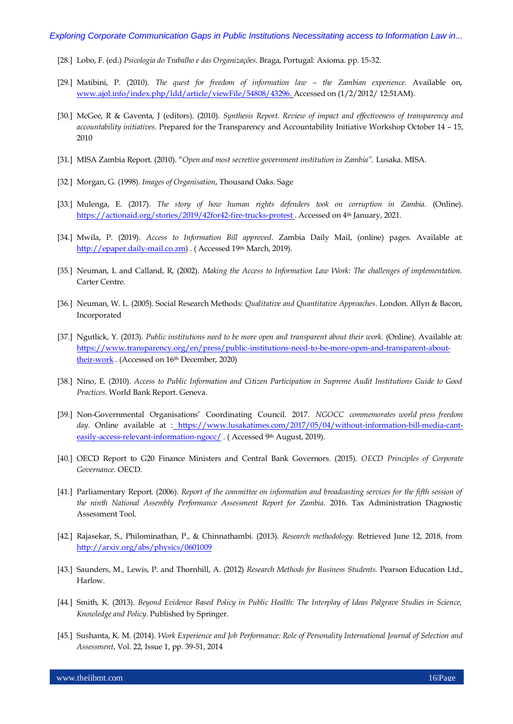- [28.] Lobo, F. (ed.) *Psicologia do Trabalho e das Organizações*. Braga, Portugal: Axioma. pp. 15-32.
- [29.] Matibini, P. (2010). *The quest for freedom of information law – the Zambian experience.* Available on, [www.ajol.info/index.php/ldd/article/viewFile/54808/43296. A](http://www.ajol.info/index.php/ldd/article/viewFile/54808/43296)ccessed on (1/2/2012/ 12:51AM).
- [30.] McGee, R & Gaventa, J (editors). (2010). *Synthesis Report. Review of impact and effectiveness of transparency and accountability initiatives*. Prepared for the Transparency and Accountability Initiative Workshop October 14 – 15, 2010
- [31.] MISA Zambia Report. (2010). "*Open and most secretive government institution in Zambia".* Lusaka. MISA.
- [32.] Morgan, G. (1998). *Images of Organisation*, Thousand Oaks. Sage
- [33.] Mulenga, E. (2017). *The story of how human rights defenders took on corruption in Zambia.* (Online). <https://actionaid.org/stories/2019/42for42-fire-trucks-protest> . Accessed on 4th January, 2021.
- [34.] Mwila, P. (2019). *Access to Information Bill approved*. Zambia Daily Mail, (online) pages. Available at: [http://epaper.daily-mail.co.zm\)](http://epaper.daily-mail.co.zm/) . (Accessed 19th March, 2019).
- [35.] Neuman, L and Calland, R, (2002). *Making the Access to Information Law Work: The challenges of implementation.* Carter Centre.
- [36.] Neuman, W. L. (2005). Social Research Methods: *Qualitative and Quantitative Approaches*. London. Allyn & Bacon, Incorporated
- [37.] Ngutlick, Y. (2013). *Public institutions need to be more open and transparent about their work.* (Online). Available at: [https://www.transparency.org/en/press/public-institutions-need-to-be-more-open-and-transparent-about](https://www.transparency.org/en/press/public-institutions-need-to-be-more-open-and-transparent-about-their-work)their-work. (Accessed on 16th December, 2020)
- [38.] Nino, E. (2010). *Access to Public Information and Citizen Participation in Supreme Audit Institutions Guide to Good Practices*. World Bank Report. Geneva.
- [39.] Non-Governmental Organisations" Coordinating Council. 2017. *NGOCC commemorates world press freedom*  day. Online available at : [https://www.lusakatimes.com/2017/05/04/without-information-bill-media-cant](https://www.lusakatimes.com/2017/05/04/without-information-bill-media-cant-easily-access-relevant-information-ngocc/)[easily-access-relevant-information-ngocc/](https://www.lusakatimes.com/2017/05/04/without-information-bill-media-cant-easily-access-relevant-information-ngocc/). (Accessed 9th August, 2019).
- [40.] OECD Report to G20 Finance Ministers and Central Bank Governors. (2015). *OECD Principles of Corporate Governance.* OECD.
- [41.] Parliamentary Report. (2006). *Report of the committee on information and broadcasting services for the fifth session of the ninth National Assembly Performance Assessment Report for Zambia.* 2016. Tax Administration Diagnostic Assessment Tool.
- [42.] Rajasekar, S., Philominathan, P., & Chinnathambi. (2013). *Research methodology.* Retrieved June 12, 2018, from <http://arxiv.org/abs/physics/0601009>
- [43.] Saunders, M., Lewis, P. and Thornhill, A. (2012) *Research Methods for Business Students.* Pearson Education Ltd., Harlow.
- [44.] Smith, K. (2013). *Beyond Evidence Based Policy in Public Health: The Interplay of Ideas Palgrave Studies in Science, Knowledge and Policy*. Published by Springer.
- [45.] Sushanta, K. M. (2014). *Work Experience and Job Performance: Role of Personality International Journal of Selection and Assessment*, Vol. 22, Issue 1, pp. 39-51, 2014